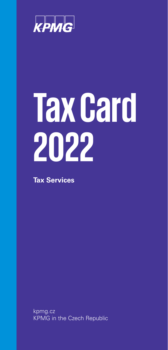

# **Tax Card 2022**

**Tax Services**

kpmg.cz KPMG in the Czech Republic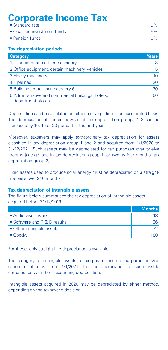# **Corporate Income Tax**

| • Standard rate              |            |
|------------------------------|------------|
| • Qualified investment funds | 5%         |
| • Pension funds              | $\gamma\%$ |

# **Tax depreciation periods**

| <b>Category</b>                                                         | <b>Years</b> |
|-------------------------------------------------------------------------|--------------|
| 1 IT equipment, certain machinery                                       |              |
| 2 Office equipment, certain machinery, vehicles                         |              |
| 3 Heavy machinery                                                       | 10           |
| 4 Pipelines                                                             | 20           |
| 5 Buildings other than category 6                                       | 30           |
| 6 Administrative and commercial buildings, hotels,<br>department stores | 50           |

Depreciation can be calculated on either a straight-line or an accelerated basis. The depreciation of certain new assets in depreciation groups 1–3 can be increased by 10, 15 or 20 percent in the first year.

Moreover, taxpayers may apply extraordinary tax depreciation for assets classified in tax depreciation group 1 and 2 and acquired from 1/1/2020 to 31/12/2021. Such assets may be depreciated for tax purposes over twelve months (categorised in tax depreciation group 1) or twenty-four months (tax depreciation group 2).

Fixed assets used to produce solar energy must be depreciated on a straightline basis over 240 months.

## **Tax depreciation of intangible assets**

The figure below summarises the tax depreciation of intangible assets acquired before 31/12/2019.

|                              | <b>Months</b> |
|------------------------------|---------------|
| • Audio-visual work          |               |
| • Software and R & D results | 36            |
| • Other intangible assets    |               |
| $\bullet$ Goodwill           | 180           |

For these, only straight-line depreciation is available.

The category of intangible assets for corporate income tax purposes was cancelled effective from 1/1/2021. The tax depreciation of such assets corresponds with their accounting depreciation.

Intangible assets acquired in 2020 may be depreciated by either method, depending on the taxpayer's decision.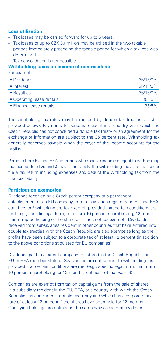## **Loss utilisation**

- Tax losses may be carried forward for up to 5 years.
- Tax losses of up to CZK 30 million may be utilised in the two taxable periods immediately preceding the taxable period for which a tax loss was determined.
- Tax consolidation is not possible.

### **Withholding taxes on income of non-residents**

For example:

| • Dividends               | 35/15/0% |
|---------------------------|----------|
| • Interest                | 35/15/0% |
| • Royalties               | 35/15/0% |
| • Operating lease rentals | 35/15%   |
| • Finance lease rentals   | 35/5%    |

The withholding tax rates may be reduced by double tax treaties (a list is provided below). Payments to persons resident in a country with which the Czech Republic has not concluded a double tax treaty or an agreement for the exchange of information are subject to the 35 percent rate. Withholding tax generally becomes payable when the payer of the income accounts for the liability.

Persons from EU and EEA countries who receive income subject to withholding tax (except for dividends) may either apply the withholding tax as a final tax or file a tax return including expenses and deduct the withholding tax from the final tax liability.

## **Participation exemption**

Dividends received by a Czech parent company or a permanent establishment of an EU company from subsidiaries registered in EU and EEA countries or Switzerland are tax exempt, provided that certain conditions are met (e.g., specific legal form, minimum 10-percent shareholding, 12-month uninterrupted holding of the shares, entities not tax exempt). Dividends received from subsidiaries resident in other countries that have entered into double tax treaties with the Czech Republic are also exempt as long as the profits have been subject to a corporate tax of at least 12 percent (in addition to the above conditions stipulated for EU companies).

Dividends paid to a parent company registered in the Czech Republic, an EU or EEA member state or Switzerland are not subject to withholding tax provided that certain conditions are met (e.g., specific legal form, minimum 10-percent shareholding for 12 months, entities not tax exempt).

Companies are exempt from tax on capital gains from the sale of shares in a subsidiary resident in the EU, EEA, or a country with which the Czech Republic has concluded a double tax treaty and which has a corporate tax rate of at least 12 percent if the shares have been held for 12 months. Qualifying holdings are defined in the same way as exempt dividends.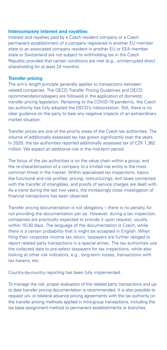### **Intercompany interest and royalties**

Interest and royalties paid by a Czech resident company or a Czech permanent establishment of a company registered in another EU member state to an associated company resident in another EU or EEA member state or Switzerland are not subject to withholding tax in the Czech Republic provided that certain conditions are met (e.g., uninterrupted direct shareholding for at least 24 months).

#### **Transfer pricing**

The arm's length principle generally applies to transactions between related companies. The OECD Transfer Pricing Guidelines and OECD recommendations/papers are followed in the application of domestic transfer pricing legislation. Pertaining to the COVID-19 pandemic, the Czech tax authority has fully adopted the OECD's interpretation. Still, there is no clear guidance on the party to bear any negative impacts of an extraordinary market situation.

Transfer prices are one of the priority areas of the Czech tax authorities. The volume of additionally assessed tax has grown significantly over the years. In 2020, the tax authorities reported additionally assessed tax of CZK 1,362 million. We expect an additional rise in the mid-term period.

The focus of the tax authorities is on the value chain within a group, and the re-characterisation of a company to a limited risk entity is the most common threat in the market. Within specialised tax inspections, topics like functional and risk profiles, pricing, restructurings, exit taxes connected with the transfer of intangibles, and proofs of service charges are dealt with. As a trend during the last two years, the increasingly close investigation of financial transactions has been observed.

Transfer pricing documentation is not obligatory – there is no penalty for not providing the documentation per se. However, during a tax inspection, companies are practically expected to provide it upon request, usually within 15-30 days. The language of the documentation is Czech, while there is a certain probability that it might be accepted in English. When filing their corporate income tax return, taxpayers are further obliged to report related party transactions in a special annex. The tax authorities use the collected data to pre-select taxpayers for tax inspections, while also looking at other risk indicators, e.g., long-term losses, transactions with tax havens, etc.

Country-by-country reporting has been fully implemented.

To manage the risk, proper evaluation of the related party transactions and upto date transfer pricing documentation is recommended. It is also possible to request uni- or bilateral advance pricing agreements with the tax authority on the transfer pricing methods applied in intra-group transactions, including the tax base assignment method to permanent establishments or branches.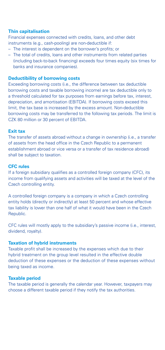## **Thin capitalisation**

Financial expenses connected with credits, loans, and other debt instruments (e.g., cash-pooling) are non-deductible if:

- The interest is dependent on the borrower's profits; or
- The total of credits, loans and other instruments from related parties (including back-to-back financing) exceeds four times equity (six times for banks and insurance companies).

## **Deductibility of borrowing costs**

Exceeding borrowing costs (i.e., the difference between tax deductible borrowing costs and taxable borrowing income) are tax deductible only to a threshold calculated for tax purposes from earnings before tax, interest, depreciation, and amortisation (EBITDA). If borrowing costs exceed this limit, the tax base is increased by the excess amount. Non-deductible borrowing costs may be transferred to the following tax periods. The limit is CZK 80 million or 30 percent of EBITDA.

#### **Exit tax**

The transfer of assets abroad without a change in ownership (i.e., a transfer of assets from the head office in the Czech Republic to a permanent establishment abroad or vice versa or a transfer of tax residence abroad) shall be subject to taxation.

### **CFC rules**

If a foreign subsidiary qualifies as a controlled foreign company (CFC), its income from qualifying assets and activities will be taxed at the level of the Czech controlling entity.

A controlled foreign company is a company in which a Czech controlling entity holds (directly or indirectly) at least 50 percent and whose effective tax liability is lower than one half of what it would have been in the Czech Republic.

CFC rules will mostly apply to the subsidiary's passive income (i.e., interest, dividend, royalty).

## **Taxation of hybrid instruments**

Taxable profit shall be increased by the expenses which due to their hybrid treatment on the group level resulted in the effective double deduction of these expenses or the deduction of these expenses without being taxed as income.

## **Taxable period**

The taxable period is generally the calendar year. However, taxpayers may choose a different taxable period if they notify the tax authorities.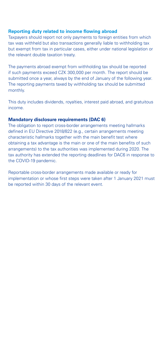## **Reporting duty related to income flowing abroad**

Taxpayers should report not only payments to foreign entities from which tax was withheld but also transactions generally liable to withholding tax but exempt from tax in particular cases, either under national legislation or the relevant double taxation treaty.

The payments abroad exempt from withholding tax should be reported if such payments exceed CZK 300,000 per month. The report should be submitted once a year, always by the end of January of the following year. The reporting payments taxed by withholding tax should be submitted monthly.

This duty includes dividends, royalties, interest paid abroad, and gratuitous income.

## **Mandatory disclosure requirements (DAC 6)**

The obligation to report cross-border arrangements meeting hallmarks defined in EU Directive 2018/822 (e.g., certain arrangements meeting characteristic hallmarks together with the main benefit test where obtaining a tax advantage is the main or one of the main benefits of such arrangements) to the tax authorities was implemented during 2020. The tax authority has extended the reporting deadlines for DAC6 in response to the COVID-19 pandemic.

Reportable cross-border arrangements made available or ready for implementation or whose first steps were taken after 1 January 2021 must be reported within 30 days of the relevant event.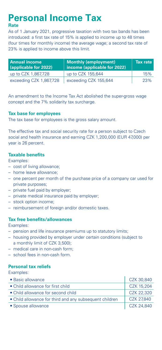# **Personal Income Tax**

# **Rate**

As of 1 January 2021, progressive taxation with two tax bands has been introduced: a first tax rate of 15% is applied to income up to 48 times (four times for monthly income) the average wage; a second tax rate of 23% is applied to income above this limit.

| <b>Annual income</b><br>(applicable for 2022) | Monthly (employment)<br>income (applicable for 2022) | Tax rate |
|-----------------------------------------------|------------------------------------------------------|----------|
| up to CZK 1,867,728                           | up to CZK 155,644                                    | 15%      |
| exceeding CZK 1,867,728                       | exceeding CZK 155,644                                | 23%      |

An amendment to the Income Tax Act abolished the super-gross wage concept and the 7% solidarity tax surcharge.

## **Tax base for employees**

The tax base for employees is the gross salary amount.

The effective tax and social security rate for a person subject to Czech social and health insurance and earning CZK 1,200,000 (EUR 47,000) per year is 26 percent.

## **Taxable benefits**

Examples:

- cost of living allowance;
- home leave allowance;
- one percent per month of the purchase price of a company car used for private purposes;
- private fuel paid by employer;
- private medical insurance paid by employer;
- stock option income;
- reimbursement of foreign and/or domestic taxes.

## **Tax free benefits/allowances**

Examples:

- pension and life insurance premiums up to statutory limits;
- housing provided by employer under certain conditions (subject to a monthly limit of CZK 3,500);
- medical care in non-cash form;
- school fees in non-cash form.

# **Personal tax reliefs**

Examples:

| • Basic allowance                                       | CZK 30.840 |
|---------------------------------------------------------|------------|
| • Child allowance for first child                       | CZK 15.204 |
| • Child allowance for second child                      | CZK 22.320 |
| • Child allowance for third and any subsequent children | CZK 27.840 |
| • Spouse allowance                                      | CZK 24,840 |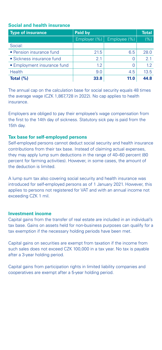# **Social and health insurance**

| <b>Type of insurance</b>    | Paid by      |              | <b>Total</b> |
|-----------------------------|--------------|--------------|--------------|
|                             | Employer (%) | Employee (%) | (%)          |
| Social:                     |              |              |              |
| • Pension insurance fund    | 21.5         | 6.5          | 28.0         |
| • Sickness insurance fund   | 2.1          | 0            | 2.1          |
| • Employment insurance fund | 1.2          | 0            | 1.2          |
| Health                      | 9.0          | 4.5          | 13.5         |
| Total $(\%)$                | 33.8         | 11.0         | 44.8         |

The annual cap on the calculation base for social security equals 48 times the average wage (CZK 1,867,728 in 2022). No cap applies to health insurance.

Employers are obliged to pay their employee's wage compensation from the first to the 14th day of sickness. Statutory sick pay is paid from the 15th day.

#### **Tax base for self-employed persons**

Self-employed persons cannot deduct social security and health insurance contributions from their tax base. Instead of claiming actual expenses, they may apply lump sum deductions in the range of 40–60 percent (80 percent for farming activities). However, in some cases, the amount of the deduction is limited.

A lump sum tax also covering social security and health insurance was introduced for self-employed persons as of 1 January 2021. However, this applies to persons not registered for VAT and with an annual income not exceeding CZK 1 mil.

## **Investment income**

Capital gains from the transfer of real estate are included in an individual's tax base. Gains on assets held for non-business purposes can qualify for a tax exemption if the necessary holding periods have been met.

Capital gains on securities are exempt from taxation if the income from such sales does not exceed CZK 100,000 in a tax year. No tax is payable after a 3-year holding period.

Capital gains from participation rights in limited liability companies and cooperatives are exempt after a 5-year holding period.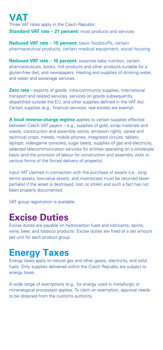# **VAT** Three VAT rates apply in the Czech Republic: **Standard VAT rate – 21 percent:** most products and services

**Reduced VAT rate – 15 percent:** basic foodstuffs, certain pharmaceutical products, certain medical equipment, social housing

**Reduced VAT rate – 10 percent:** essential baby nutrition, certain pharmaceuticals, books, mill products and other products suitable for a gluten-free diet, and newspapers. Heating and supplies of drinking water, and water and sewerage services.

**Zero rate** – exports of goods, intra-community supplies, international transport and related services, services on goods subsequently dispatched outside the EU, and other supplies defined in the VAT Act. Certain supplies (e.g., financial services, real estate) are exempt.

**A local reverse-charge regime** applies to certain supplies effected between Czech VAT payers – e.g., supplies of gold, scrap materials and waste, construction and assembly works, emission rights, cereal and technical crops, metals, mobile phones, integrated circuits, tablets, laptops, videogame consoles, sugar beets, supplies of gas and electricity, selected telecommunication services for entities operating on a wholesale basis (and the provision of labour for construction and assembly work or various forms of the forced delivery of property).

Input VAT claimed in connection with the purchase of assets (i.e., longterms assets, low-value assets, and inventories) must be returned (even partially) if the asset is destroyed, lost, or stolen and such a fact has not been properly documented.

VAT group registration is available.

# **Excise Duties**

Excise duties are payable on hydrocarbon fuels and lubricants, spirits, wine, beer, and tobacco products. Excise duties are fixed at a set amount per unit for each product group.

# **Energy Taxes**

Energy taxes apply to natural gas and other gases, electricity, and solid fuels. Only supplies delivered within the Czech Republic are subject to energy taxes.

A wide range of exemptions (e.g., for energy used in metallurgic or mineralogical processes) applies. To claim an exemption, approval needs to be obtained from the customs authority.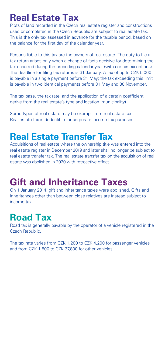# **Real Estate Tax**

Plots of land recorded in the Czech real estate register and constructions used or completed in the Czech Republic are subject to real estate tax. This is the only tax assessed in advance for the taxable period, based on the balance for the first day of the calendar year.

Persons liable to this tax are the owners of real estate. The duty to file a tax return arises only when a change of facts decisive for determining the tax occurred during the preceding calendar year (with certain exceptions). The deadline for filing tax returns is 31 January. A tax of up to CZK 5,000 is payable in a single payment before 31 May; the tax exceeding this limit is payable in two identical payments before 31 May and 30 November.

The tax base, the tax rate, and the application of a certain coefficient derive from the real estate's type and location (municipality).

Some types of real estate may be exempt from real estate tax. Real estate tax is deductible for corporate income tax purposes.

# **Real Estate Transfer Tax**

Acquisitions of real estate where the ownership title was entered into the real estate register in December 2019 and later shall no longer be subject to real estate transfer tax. The real estate transfer tax on the acquisition of real estate was abolished in 2020 with retroactive effect.

# **Gift and Inheritance Taxes**

On 1 January 2014, gift and inheritance taxes were abolished. Gifts and inheritances other than between close relatives are instead subject to income tax.

# **Road Tax**

Road tax is generally payable by the operator of a vehicle registered in the Czech Republic.

The tax rate varies from CZK 1,200 to CZK 4,200 for passenger vehicles and from CZK 1,800 to CZK 37,800 for other vehicles.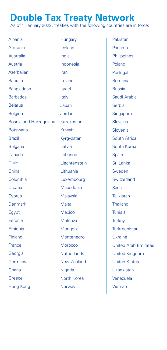# **Double Tax Treaty Network**

As of 1 January 2022, treaties with the following countries are in force:

Albania Armenia Australia Austria **Azerbaijan** Bahrain **Bangladesh** Barbados Belarus Belgium Bosnia and Herzegovina Botswana Brazil Bulgaria Canada Chile China Columbia **Croatia Cyprus** Denmark Egypt Estonia **Ethiopia** Finland France Georgia **Germany** Ghana **Greece** Hong Kong

**Hungary** Iceland India Indonesia Iran Ireland Israel Italy Japan Jordan Kazakhstan Kuwait Kyrgyzstan Latvia Lebanon Liechtenstein Lithuania Luxembourg Macedonia Malaysia **Malta** Mexico Moldova Mongolia Montenegro Morocco **Netherlands** New Zealand Nigeria North Korea **Norway** 

Pakistan Panama **Philippines** Poland **Portugal** Romania Russia Saudi Arabia Serbia **Singapore** Slovakia Slovenia South Africa South Korea **Spain** Sri Lanka Sweden **Switzerland** Syria **Tajikistan** Thailand Tunisia **Turkey Turkmenistan** Ukraine United Arab Emirates United Kingdom United States Uzbekistan Venezuela Vietnam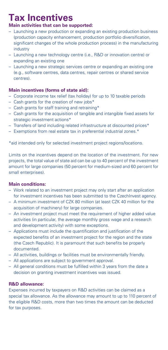# **Tax Incentives**

# **Main activities that can be supported:**

- Launching a new production or expanding an existing production business (production capacity enhancement, production portfolio diversification, significant changes of the whole production process) in the manufacturing industry
- Launching a new technology centre (i.e., R&D or innovation centre) or expanding an existing one
- Launching a new strategic services centre or expanding an existing one (e.g., software centres, data centres, repair centres or shared service centres).

# **Main incentives (forms of state aid):**

- Corporate income tax relief (tax holiday) for up to 10 taxable periods
- Cash grants for the creation of new jobs\*
- Cash grants for staff training and retraining\*
- Cash grants for the acquisition of tangible and intangible fixed assets for strategic investment actions\*
- Transfers of land including related infrastructure at discounted prices\*
- Exemptions from real estate tax in preferential industrial zones.\*

\*aid intended only for selected investment project regions/locations.

Limits on the incentives depend on the location of the investment. For new projects, the total value of state aid can be up to 40 percent of the investment amount for large companies (50 percent for medium-sized and 60 percent for small enterprises).

## **Main conditions:**

- Work related to an investment project may only start after an application for investment incentives has been submitted to the CzechInvest agency.
- A minimum investment of CZK 80 million (at least CZK 40 million for the acquisition of machinery) for large companies.
- An investment project must meet the requirement of higher added value activities (in particular, the average monthly gross wage and a research and development activity) with some exceptions.
- Applications must include the quantification and justification of the expected benefits of an investment project for the region and the state (the Czech Republic). It is paramount that such benefits be properly documented.
- All activities, buildings or facilities must be environmentally friendly.
- All applications are subject to government approval.
- All general conditions must be fulfilled within 3 years from the date a decision on granting investment incentives was issued.

# **R&D allowance:**

Expenses incurred by taxpayers on R&D activities can be claimed as a special tax allowance. As the allowance may amount to up to 110 percent of the eligible R&D costs, more than two times the amount can be deducted for tax purposes.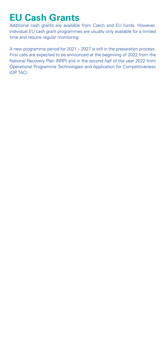# **EU Cash Grants**

Additional cash grants are available from Czech and EU funds. However, individual EU cash grant programmes are usually only available for a limited time and require regular monitoring.

A new programme period for 2021 – 2027 is still in the preparation process. First calls are expected to be announced at the beginning of 2022 from the National Recovery Plan (NRP) and in the second half of the year 2022 from Operational Programme Technologies and Application for Competitiveness (OP TAC).